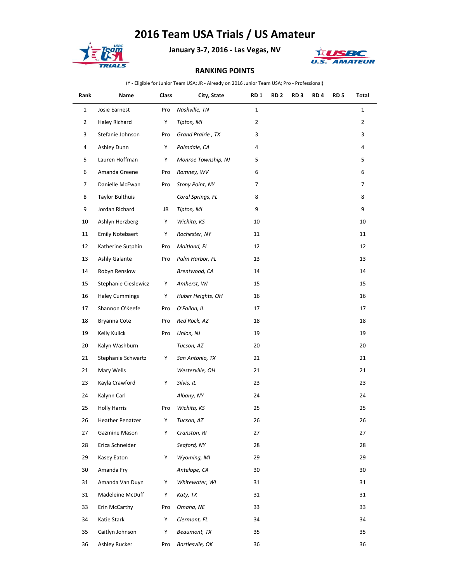## **2016 Team USA Trials / US Amateur**



**January 3-7, 2016 - Las Vegas, NV**



## **RANKING POINTS**

(Y - Eligible for Junior Team USA; JR - Already on 2016 Junior Team USA; Pro - Professional)

| Rank           | Name                   | Class | City, State         | RD <sub>1</sub> | RD <sub>2</sub> | RD <sub>3</sub> | RD <sub>4</sub> | RD <sub>5</sub> | Total          |
|----------------|------------------------|-------|---------------------|-----------------|-----------------|-----------------|-----------------|-----------------|----------------|
| $\mathbf{1}$   | Josie Earnest          | Pro   | Nashville, TN       | $\mathbf{1}$    |                 |                 |                 |                 | $\mathbf{1}$   |
| $\overline{2}$ | Haley Richard          | Y     | Tipton, MI          | $\overline{2}$  |                 |                 |                 |                 | $\overline{2}$ |
| 3              | Stefanie Johnson       | Pro   | Grand Prairie, TX   | 3               |                 |                 |                 |                 | 3              |
| 4              | Ashley Dunn            | Y     | Palmdale, CA        | 4               |                 |                 |                 |                 | 4              |
| 5              | Lauren Hoffman         | Y     | Monroe Township, NJ | 5               |                 |                 |                 |                 | 5              |
| 6              | Amanda Greene          | Pro   | Romney, WV          | 6               |                 |                 |                 |                 | 6              |
| 7              | Danielle McEwan        | Pro   | Stony Point, NY     | 7               |                 |                 |                 |                 | $\overline{7}$ |
| 8              | <b>Taylor Bulthuis</b> |       | Coral Springs, FL   | 8               |                 |                 |                 |                 | 8              |
| 9              | Jordan Richard         | JR    | Tipton, MI          | 9               |                 |                 |                 |                 | 9              |
| 10             | Ashlyn Herzberg        | Υ     | Wichita, KS         | 10              |                 |                 |                 |                 | 10             |
| 11             | <b>Emily Notebaert</b> | Y     | Rochester, NY       | 11              |                 |                 |                 |                 | 11             |
| 12             | Katherine Sutphin      | Pro   | Maitland, FL        | 12              |                 |                 |                 |                 | 12             |
| 13             | Ashly Galante          | Pro   | Palm Harbor, FL     | 13              |                 |                 |                 |                 | 13             |
| 14             | Robyn Renslow          |       | Brentwood, CA       | 14              |                 |                 |                 |                 | 14             |
| 15             | Stephanie Cieslewicz   | Y     | Amherst, WI         | 15              |                 |                 |                 |                 | 15             |
| 16             | <b>Haley Cummings</b>  | Y     | Huber Heights, OH   | 16              |                 |                 |                 |                 | 16             |
| 17             | Shannon O'Keefe        | Pro   | O'Fallon, IL        | 17              |                 |                 |                 |                 | 17             |
| 18             | Bryanna Cote           | Pro   | Red Rock, AZ        | 18              |                 |                 |                 |                 | 18             |
| 19             | Kelly Kulick           | Pro   | Union, NJ           | 19              |                 |                 |                 |                 | 19             |
| 20             | Kalyn Washburn         |       | Tucson, AZ          | 20              |                 |                 |                 |                 | 20             |
| 21             | Stephanie Schwartz     | Y     | San Antonio, TX     | 21              |                 |                 |                 |                 | 21             |
| 21             | Mary Wells             |       | Westerville, OH     | 21              |                 |                 |                 |                 | 21             |
| 23             | Kayla Crawford         | Y     | Silvis, IL          | 23              |                 |                 |                 |                 | 23             |
| 24             | Kalynn Carl            |       | Albany, NY          | 24              |                 |                 |                 |                 | 24             |
| 25             | <b>Holly Harris</b>    | Pro   | Wichita, KS         | 25              |                 |                 |                 |                 | 25             |
| 26             | Heather Penatzer       | Y     | Tucson, AZ          | 26              |                 |                 |                 |                 | 26             |
| 27             | Gazmine Mason          | Y     | Cranston, RI        | 27              |                 |                 |                 |                 | 27             |
| 28             | Erica Schneider        |       | Seaford, NY         | 28              |                 |                 |                 |                 | 28             |
| 29             | Kasey Eaton            | Y     | Wyoming, MI         | 29              |                 |                 |                 |                 | 29             |
| 30             | Amanda Fry             |       | Antelope, CA        | 30              |                 |                 |                 |                 | 30             |
| 31             | Amanda Van Duyn        | Υ     | Whitewater, WI      | 31              |                 |                 |                 |                 | 31             |
| 31             | Madeleine McDuff       | Υ     | Katy, TX            | 31              |                 |                 |                 |                 | 31             |
| 33             | Erin McCarthy          | Pro   | Omaha, NE           | 33              |                 |                 |                 |                 | 33             |
| 34             | Katie Stark            | Y     | Clermont, FL        | 34              |                 |                 |                 |                 | 34             |
| 35             | Caitlyn Johnson        | Y     | Beaumont, TX        | 35              |                 |                 |                 |                 | 35             |
| 36             | Ashley Rucker          | Pro   | Bartlesvile, OK     | 36              |                 |                 |                 |                 | 36             |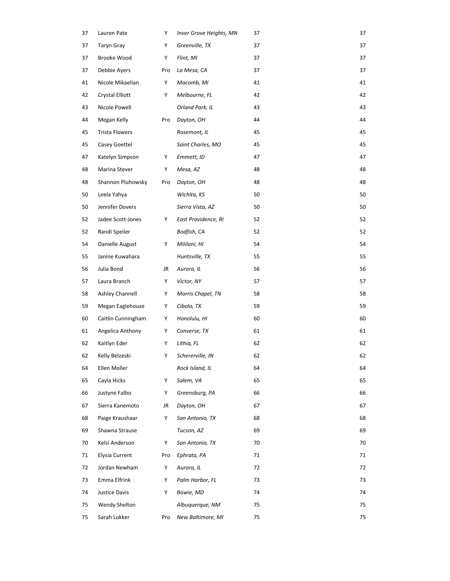| 37 | Lauren Pate            | Y   | Inver Grove Heights, MN | 37 | 37 |
|----|------------------------|-----|-------------------------|----|----|
| 37 | Taryn Gray             | Y   | Greenville, TX          | 37 | 37 |
| 37 | Brooke Wood            | Y   | Flint, MI               | 37 | 37 |
| 37 | Debbie Ayers           | Pro | La Mesa, CA             | 37 | 37 |
| 41 | Nicole Mikaelian       | Y   | Macomb, MI              | 41 | 41 |
| 42 | <b>Crystal Elliott</b> | Υ   | Melbourne, FL           | 42 | 42 |
| 43 | Nicole Powell          |     | Orland Park, IL         | 43 | 43 |
| 44 | Megan Kelly            | Pro | Dayton, OH              | 44 | 44 |
| 45 | <b>Trista Flowers</b>  |     | Rosemont, IL            | 45 | 45 |
| 45 | Casey Goettel          |     | Saint Charles, MO       | 45 | 45 |
| 47 | Katelyn Simpson        | Υ   | Emmett, ID              | 47 | 47 |
| 48 | Marina Stever          | Y   | Mesa, AZ                | 48 | 48 |
| 48 | Shannon Pluhowsky      | Pro | Dayton, OH              | 48 | 48 |
| 50 | Leela Yahya            |     | Wichita, KS             | 50 | 50 |
| 50 | Jennifer Dovers        |     | Sierra Vista, AZ        | 50 | 50 |
| 52 | Jadee Scott-Jones      | Y   | East Providence, RI     | 52 | 52 |
| 52 | Randi Speiler          |     | Bodfish, CA             | 52 | 52 |
| 54 | Danielle August        | Y   | Mililani, HI            | 54 | 54 |
| 55 | Janine Kuwahara        |     | Huntsville, TX          | 55 | 55 |
| 56 | Julia Bond             | JR  | Aurora, IL              | 56 | 56 |
| 57 | Laura Branch           | Y   | Victor, NY              | 57 | 57 |
| 58 | Ashley Channell        | Y   | Morris Chapel, TN       | 58 | 58 |
| 59 | Megan Eaglehouse       | Y   | Cibolo, TX              | 59 | 59 |
| 60 | Caitlin Cunningham     | Y   | Honolulu, HI            | 60 | 60 |
| 61 | Angelica Anthony       | Y   | Converse, TX            | 61 | 61 |
| 62 | Kaitlyn Eder           | Υ   | Lithia, FL              | 62 | 62 |
| 62 | Kelly Belzeski         | Υ   | Schererville, IN        | 62 | 62 |
| 64 | Ellen Moller           |     | Rock Island, IL         | 64 | 64 |
| 65 | Cayla Hicks            | Y   | Salem, VA               | 65 | 65 |
| 66 | Justyne Falbo          | Y   | Greensburg, PA          | 66 | 66 |
| 67 | Sierra Kanemoto        | JR  | Dayton, OH              | 67 | 67 |
| 68 | Paige Kraushaar        | Y   | San Antonio, TX         | 68 | 68 |
| 69 | Shawna Strause         |     | Tucson, AZ              | 69 | 69 |
| 70 | Kelsi Anderson         | Y   | San Antonio, TX         | 70 | 70 |
| 71 | Elysia Current         | Pro | Ephrata, PA             | 71 | 71 |
| 72 | Jordan Newham          | Υ   | Aurora, IL              | 72 | 72 |
| 73 | Emma Elfrink           | Υ   | Palm Harbor, FL         | 73 | 73 |
| 74 | Justice Davis          | Υ   | Bowie, MD               | 74 | 74 |
| 75 | Wendy Shelton          |     | Albuquerque, NM         | 75 | 75 |
| 75 | Sarah Lokker           | Pro | New Baltimore, MI       | 75 | 75 |